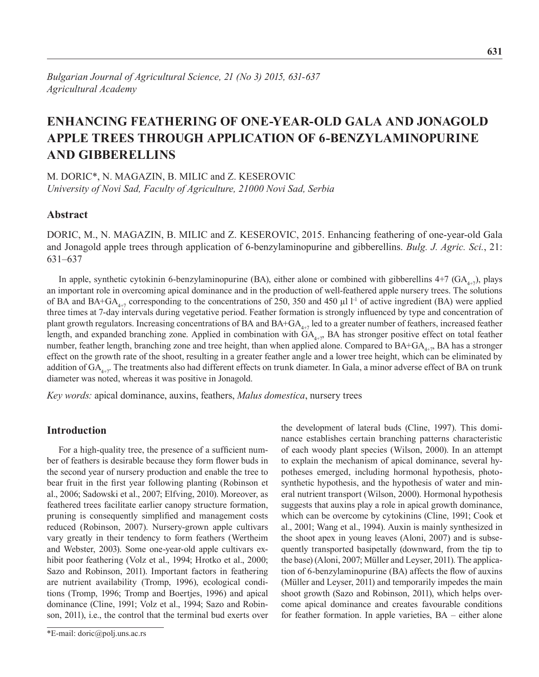# **ENHANCING FEATHERING OF ONE-YEAR-OLD GALA AND JONAGOLD APPLE TREES THROUGH APPLICATION OF 6-BENZYLAMINOPURINE AND GIBBERELLINS**

M. DORIC\*, N. MAGAZIN, B. MILIC and Z. KESEROVIC *University of Novi Sad, Faculty of Agriculture, 21000 Novi Sad, Serbia*

# **Abstract**

DORIC, M., N. MAGAZIN, B. MILIC and Z. KESEROVIC, 2015. Enhancing feathering of one-year-old Gala and Jonagold apple trees through application of 6-benzylaminopurine and gibberellins. *Bulg. J. Agric. Sci.*, 21: 631–637

In apple, synthetic cytokinin 6-benzylaminopurine (BA), either alone or combined with gibberellins  $4+7$  (GA<sub>4+7</sub>), plays an important role in overcoming apical dominance and in the production of well-feathered apple nursery trees. The solutions of BA and BA+GA<sub>4+7</sub> corresponding to the concentrations of 250, 350 and 450 µl l<sup>-1</sup> of active ingredient (BA) were applied three times at 7-day intervals during vegetative period. Feather formation is strongly influenced by type and concentration of plant growth regulators. Increasing concentrations of BA and  $BA+GA_{4+7}$  led to a greater number of feathers, increased feather length, and expanded branching zone. Applied in combination with  $GA_{4+7}$ , BA has stronger positive effect on total feather number, feather length, branching zone and tree height, than when applied alone. Compared to  $BA+GA_{4+7}$ , BA has a stronger effect on the growth rate of the shoot, resulting in a greater feather angle and a lower tree height, which can be eliminated by addition of  $GA_{4\text{-}7}$ . The treatments also had different effects on trunk diameter. In Gala, a minor adverse effect of BA on trunk diameter was noted, whereas it was positive in Jonagold.

*Key words:* apical dominance, auxins, feathers, *Malus domestica*, nursery trees

# **Introduction**

For a high-quality tree, the presence of a sufficient number of feathers is desirable because they form flower buds in the second year of nursery production and enable the tree to bear fruit in the first year following planting (Robinson et al., 2006; Sadowski et al., 2007; Elfving, 2010). Moreover, as feathered trees facilitate earlier canopy structure formation, pruning is consequently simplified and management costs reduced (Robinson, 2007). Nursery-grown apple cultivars vary greatly in their tendency to form feathers (Wertheim and Webster, 2003). Some one-year-old apple cultivars exhibit poor feathering (Volz et al., 1994; Hrotko et al., 2000; Sazo and Robinson, 2011). Important factors in feathering are nutrient availability (Tromp, 1996), ecological conditions (Tromp, 1996; Tromp and Boertjes, 1996) and apical dominance (Cline, 1991; Volz et al., 1994; Sazo and Robinson, 2011), i.e., the control that the terminal bud exerts over

\*E-mail: doric@polj.uns.ac.rs

the development of lateral buds (Cline, 1997). This dominance establishes certain branching patterns characteristic of each woody plant species (Wilson, 2000). In an attempt to explain the mechanism of apical dominance, several hypotheses emerged, including hormonal hypothesis, photosynthetic hypothesis, and the hypothesis of water and mineral nutrient transport (Wilson, 2000). Hormonal hypothesis suggests that auxins play a role in apical growth dominance, which can be overcome by cytokinins (Cline, 1991; Cook et al., 2001; Wang et al., 1994). Auxin is mainly synthesized in the shoot apex in young leaves (Aloni, 2007) and is subsequently transported basipetally (downward, from the tip to the base) (Aloni, 2007; Müller and Leyser, 2011). The application of 6-benzylaminopurine (BA) affects the flow of auxins (Müller and Leyser, 2011) and temporarily impedes the main shoot growth (Sazo and Robinson, 2011), which helps overcome apical dominance and creates favourable conditions for feather formation. In apple varieties, BA – either alone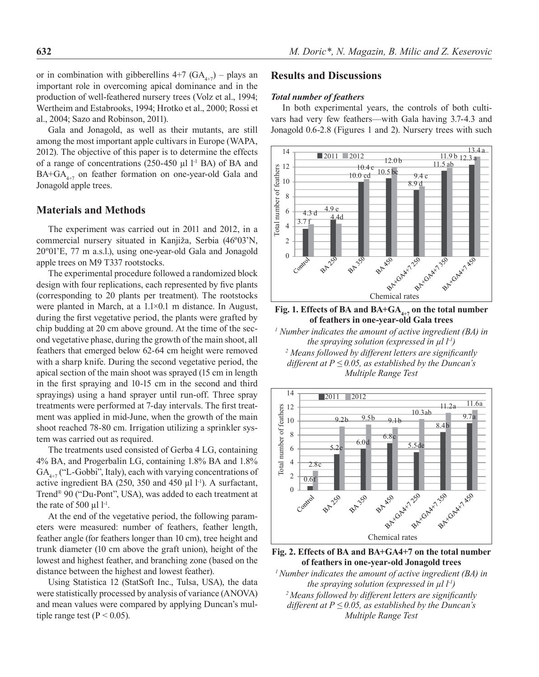or in combination with gibberellins  $4+7$  (GA<sub>4+7</sub>) – plays an important role in overcoming apical dominance and in the production of well-feathered nursery trees (Volz et al., 1994; Wertheim and Estabrooks, 1994; Hrotko et al., 2000; Rossi et al., 2004; Sazo and Robinson, 2011).

Gala and Jonagold, as well as their mutants, are still among the most important apple cultivars in Europe (WAPA, 2012). The objective of this paper is to determine the effects of a range of concentrations  $(250-450 \mu l)^{-1}$  BA) of BA and  $BA+GA_{4+7}$  on feather formation on one-year-old Gala and Jonagold apple trees.

# **Materials and Methods**

The experiment was carried out in 2011 and 2012, in a commercial nursery situated in Kanjiža, Serbia (46º03'N, 20º01'E, 77 m a.s.l.), using one-year-old Gala and Jonagold apple trees on M9 T337 rootstocks.

The experimental procedure followed a randomized block design with four replications, each represented by five plants (corresponding to 20 plants per treatment). The rootstocks were planted in March, at a 1.1×0.1 m distance. In August, during the first vegetative period, the plants were grafted by chip budding at 20 cm above ground. At the time of the second vegetative phase, during the growth of the main shoot, all feathers that emerged below 62-64 cm height were removed with a sharp knife. During the second vegetative period, the apical section of the main shoot was sprayed (15 cm in length in the first spraying and 10-15 cm in the second and third sprayings) using a hand sprayer until run-off. Three spray treatments were performed at 7-day intervals. The first treatment was applied in mid-June, when the growth of the main shoot reached 78-80 cm. Irrigation utilizing a sprinkler system was carried out as required.

The treatments used consisted of Gerba 4 LG, containing 4% BA, and Progerbalin LG, containing 1.8% BA and 1.8%  $GA_{4+7}$  ("L-Gobbi", Italy), each with varying concentrations of active ingredient BA (250, 350 and 450  $\mu$ l l<sup>-1</sup>). A surfactant, Trend® 90 ("Du-Pont", USA), was added to each treatment at the rate of 500  $\mu$ l l<sup>-1</sup>.

At the end of the vegetative period, the following parameters were measured: number of feathers, feather length, feather angle (for feathers longer than 10 cm), tree height and trunk diameter (10 cm above the graft union), height of the lowest and highest feather, and branching zone (based on the distance between the highest and lowest feather).

Using Statistica 12 (StatSoft Inc., Tulsa, USA), the data were statistically processed by analysis of variance (ANOVA) and mean values were compared by applying Duncan's multiple range test ( $P < 0.05$ ).

# **Results and Discussions**

### *Total number of feathers*

In both experimental years, the controls of both cultivars had very few feathers—with Gala having 3.7-4.3 and Jonagold 0.6-2.8 (Figures 1 and 2). Nursery trees with such



Fig. 1. Effects of BA and BA+GA<sub>4+7</sub> on the total number **of feathers in one-year-old Gala trees**

*1 Number indicates the amount of active ingredient (BA) in the spraying solution (expressed in µl l-1) 2 Means followed by different letters are significantly different at*  $P \le 0.05$ *, as established by the Duncan's Multiple Range Test*



**Fig. 2. Effects of BA and BA+GA4+7 on the total number of feathers in one-year-old Jonagold trees**

*1 Number indicates the amount of active ingredient (BA) in the spraying solution (expressed in µl l-1) <sup>2</sup>Means followed by different letters are significantly different at P*  $\leq$  0.05, as established by the Duncan's *Multiple Range Test*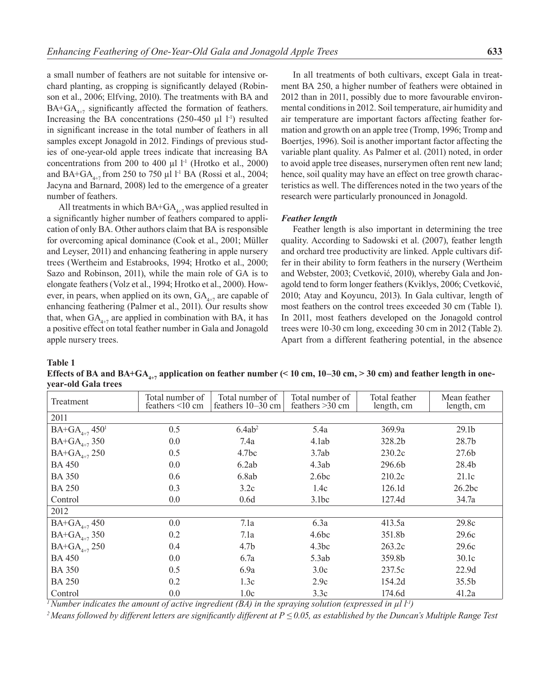a small number of feathers are not suitable for intensive orchard planting, as cropping is significantly delayed (Robinson et al., 2006; Elfving, 2010). The treatments with BA and  $BA+GA_{4+7}$  significantly affected the formation of feathers. Increasing the BA concentrations  $(250-450 \text{ µl } 1^{-1})$  resulted in significant increase in the total number of feathers in all samples except Jonagold in 2012. Findings of previous studies of one-year-old apple trees indicate that increasing BA concentrations from 200 to 400  $\mu$ l l<sup>-1</sup> (Hrotko et al., 2000) and BA+GA<sub>4+7</sub> from 250 to 750 µl l<sup>-1</sup> BA (Rossi et al., 2004; Jacyna and Barnard, 2008) led to the emergence of a greater number of feathers.

All treatments in which  $BA+GA_{4+7}$  was applied resulted in a significantly higher number of feathers compared to application of only BA. Other authors claim that BA is responsible for overcoming apical dominance (Cook et al., 2001; Müller and Leyser, 2011) and enhancing feathering in apple nursery trees (Wertheim and Estabrooks, 1994; Hrotko et al., 2000; Sazo and Robinson, 2011), while the main role of GA is to elongate feathers (Volz et al., 1994; Hrotko et al., 2000). However, in pears, when applied on its own,  $GA_{4+7}$  are capable of enhancing feathering (Palmer et al., 2011). Our results show that, when  $GA_{4+7}$  are applied in combination with BA, it has a positive effect on total feather number in Gala and Jonagold apple nursery trees.

In all treatments of both cultivars, except Gala in treatment BA 250, a higher number of feathers were obtained in 2012 than in 2011, possibly due to more favourable environmental conditions in 2012. Soil temperature, air humidity and air temperature are important factors affecting feather formation and growth on an apple tree (Tromp, 1996; Tromp and Boertjes, 1996). Soil is another important factor affecting the variable plant quality. As Palmer et al. (2011) noted, in order to avoid apple tree diseases, nurserymen often rent new land; hence, soil quality may have an effect on tree growth characteristics as well. The differences noted in the two years of the research were particularly pronounced in Jonagold.

### *Feather length*

Feather length is also important in determining the tree quality. According to Sadowski et al. (2007), feather length and orchard tree productivity are linked. Apple cultivars differ in their ability to form feathers in the nursery (Wertheim and Webster, 2003; Cvetković, 2010), whereby Gala and Jonagold tend to form longer feathers (Kviklys, 2006; Cvetković, 2010; Atay and Koyuncu, 2013). In Gala cultivar, length of most feathers on the control trees exceeded 30 cm (Table 1). In 2011, most feathers developed on the Jonagold control trees were 10-30 cm long, exceeding 30 cm in 2012 (Table 2). Apart from a different feathering potential, in the absence

**Table 1** 

Effects of BA and BA+GA<sub>4+7</sub> application on feather number (< 10 cm, 10–30 cm, > 30 cm) and feather length in one**year-old Gala trees**

| Treatment                      | Total number of<br>feathers $\leq 10$ cm | Total number of<br>feathers $10-30$ cm | Total number of<br>feathers $>30$ cm | Total feather<br>length, cm | Mean feather<br>length, cm |
|--------------------------------|------------------------------------------|----------------------------------------|--------------------------------------|-----------------------------|----------------------------|
| 2011                           |                                          |                                        |                                      |                             |                            |
| $BA+GA_{4+7}$ 450 <sup>1</sup> | 0.5                                      | 6.4ab <sup>2</sup>                     | 5.4a                                 | 369.9a                      | 29.1 <sub>b</sub>          |
| $BA+GA_{4+7}$ 350              | 0.0                                      | 7.4a                                   | 4.1ab                                | 328.2b                      | 28.7 <sub>b</sub>          |
| $BA+GA_{4+7}$ 250              | 0.5                                      | 4.7 <sub>bc</sub>                      | 3.7ab                                | 230.2c                      | 27.6 <sub>b</sub>          |
| <b>BA 450</b>                  | 0.0                                      | 6.2ab                                  | 4.3ab                                | 296.6b                      | 28.4b                      |
| <b>BA 350</b>                  | 0.6                                      | 6.8ab                                  | 2.6 <sub>bc</sub>                    | 210.2c                      | 21.1c                      |
| <b>BA 250</b>                  | 0.3                                      | 3.2c                                   | 1.4c                                 | 126.1 <sub>d</sub>          | 26.2bc                     |
| Control                        | 0.0                                      | 0.6d                                   | 3.1bc                                | 127.4d                      | 34.7a                      |
| 2012                           |                                          |                                        |                                      |                             |                            |
| $BA+GA_{4+7}$ 450              | 0.0                                      | 7.1a                                   | 6.3a                                 | 413.5a                      | 29.8c                      |
| $BA+GA$ <sub>4+7</sub> 350     | 0.2                                      | 7.1a                                   | 4.6 <sub>bc</sub>                    | 351.8b                      | 29.6c                      |
| $BA+GA$ <sub>4+7</sub> 250     | 0.4                                      | 4.7 <sub>b</sub>                       | 4.3bc                                | 263.2c                      | 29.6c                      |
| <b>BA 450</b>                  | 0.0                                      | 6.7a                                   | 5.3ab                                | 359.8b                      | 30.1c                      |
| <b>BA 350</b>                  | 0.5                                      | 6.9a                                   | 3.0c                                 | 237.5c                      | 22.9d                      |
| <b>BA 250</b>                  | 0.2                                      | 1.3c                                   | 2.9c                                 | 154.2d                      | 35.5 <sub>b</sub>          |
| Control                        | 0.0                                      | 1.0c                                   | 3.3c                                 | 174.6d                      | 41.2a                      |

*1 Number indicates the amount of active ingredient (BA) in the spraying solution (expressed in µl l-1)*

*2 Means followed by different letters are significantly different at P ≤ 0.05, as established by the Duncan's Multiple Range Test*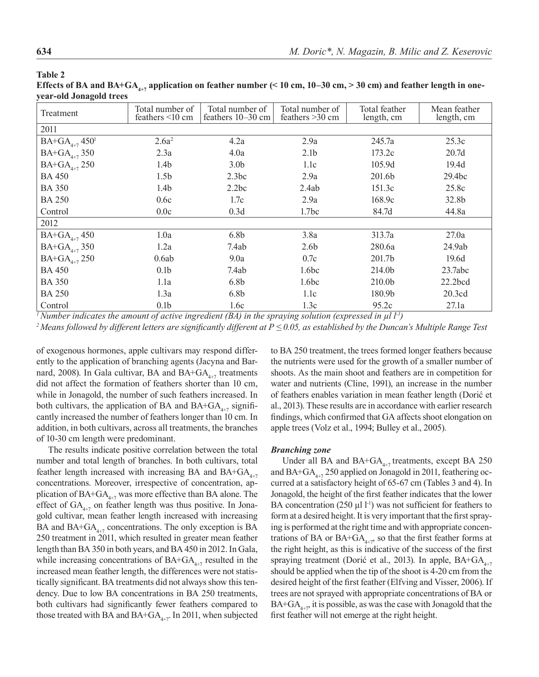**Table 2** 

|                         | Effects of BA and BA+GA <sub>4+7</sub> application on feather number (< 10 cm, 10–30 cm, > 30 cm) and feather length in one- |  |  |
|-------------------------|------------------------------------------------------------------------------------------------------------------------------|--|--|
| year-old Jonagold trees |                                                                                                                              |  |  |

| Treatment                                  | Total number of<br>feathers $\leq 10$ cm | Total number of<br>feathers 10–30 cm | Total number of<br>feathers $>30$ cm | Total feather<br>length, cm | Mean feather<br>length, cm |
|--------------------------------------------|------------------------------------------|--------------------------------------|--------------------------------------|-----------------------------|----------------------------|
| 2011                                       |                                          |                                      |                                      |                             |                            |
| $BA+GA_{4+7}$ 450 <sup>1</sup>             | 2.6a <sup>2</sup>                        | 4.2a                                 | 2.9a                                 | 245.7a                      | 25.3c                      |
| $BA+GA$ <sub>4+7</sub> 350                 | 2.3a                                     | 4.0a                                 | 2.1 <sub>b</sub>                     | 173.2c                      | 20.7 <sub>d</sub>          |
| $BA+GA_{4+7}$ 250                          | 1.4 <sub>b</sub>                         | 3.0 <sub>b</sub>                     | 1.1c                                 | 105.9d                      | 19.4d                      |
| <b>BA 450</b>                              | 1.5 <sub>b</sub>                         | 2.3bc                                | 2.9a                                 | 201.6b                      | 29.4bc                     |
| <b>BA 350</b>                              | 1.4 <sub>b</sub>                         | 2.2bc                                | 2.4ab                                | 151.3c                      | 25.8c                      |
| <b>BA 250</b>                              | 0.6c                                     | 1.7c                                 | 2.9a                                 | 168.9c                      | 32.8b                      |
| Control                                    | 0.0c                                     | 0.3d                                 | 1.7 <sub>bc</sub>                    | 84.7d                       | 44.8a                      |
| 2012                                       |                                          |                                      |                                      |                             |                            |
| $BA+GA_{4+7}450$                           | 1.0a                                     | 6.8 <sub>b</sub>                     | 3.8a                                 | 313.7a                      | 27.0a                      |
| $BA+GA$ <sub>4+7</sub> 350                 | 1.2a                                     | 7.4ab                                | 2.6 <sub>b</sub>                     | 280.6a                      | 24.9ab                     |
| $BA+GA$ <sub>4+7</sub> 250                 | 0.6ab                                    | 9.0a                                 | 0.7c                                 | 201.7b                      | 19.6d                      |
| <b>BA 450</b>                              | 0.1 <sub>b</sub>                         | 7.4ab                                | 1.6 <sub>bc</sub>                    | 214.0b                      | 23.7abc                    |
| <b>BA 350</b>                              | 1.1a                                     | 6.8 <sub>b</sub>                     | 1.6 <sub>bc</sub>                    | 210.0b                      | $22.2$ bcd                 |
| <b>BA 250</b>                              | 1.3a                                     | 6.8 <sub>b</sub>                     | 1.1c                                 | 180.9b                      | 20.3cd                     |
| Control<br>$1 + r$ $1$ $1$<br>$\mathbf{r}$ | 0.1 <sub>b</sub><br>$\sim$               | 1.6c<br>$\mathbf{I}$<br>(1) 1 1 1 1  | 1.3c                                 | 95.2c<br>111                | 27.1a                      |

<sup>1</sup> Number indicates the amount of active ingredient (BA) in the spraying solution (expressed in  $\mu$ l l<sup>-1</sup>)

*2 Means followed by different letters are significantly different at P ≤ 0.05, as established by the Duncan's Multiple Range Test*

of exogenous hormones, apple cultivars may respond differently to the application of branching agents (Jacyna and Barnard, 2008). In Gala cultivar, BA and  $BA+GA_{4+7}$  treatments did not affect the formation of feathers shorter than 10 cm, while in Jonagold, the number of such feathers increased. In both cultivars, the application of BA and  $BA+GA_{4+7}$  significantly increased the number of feathers longer than 10 cm. In addition, in both cultivars, across all treatments, the branches of 10-30 cm length were predominant.

The results indicate positive correlation between the total number and total length of branches. In both cultivars, total feather length increased with increasing BA and  $BA+GA_{4,7}$ concentrations. Moreover, irrespective of concentration, application of  $BA+GA_{4+7}$  was more effective than BA alone. The effect of  $GA_{4+7}$  on feather length was thus positive. In Jonagold cultivar, mean feather length increased with increasing BA and  $BA+GA_{4+7}$  concentrations. The only exception is BA 250 treatment in 2011, which resulted in greater mean feather length than BA 350 in both years, and BA 450 in 2012. In Gala, while increasing concentrations of  $BA+GA_{4+7}$  resulted in the increased mean feather length, the differences were not statistically significant. BA treatments did not always show this tendency. Due to low BA concentrations in BA 250 treatments, both cultivars had significantly fewer feathers compared to those treated with BA and  $BA+GA_{4+7}$ . In 2011, when subjected to BA 250 treatment, the trees formed longer feathers because the nutrients were used for the growth of a smaller number of shoots. As the main shoot and feathers are in competition for water and nutrients (Cline, 1991), an increase in the number of feathers enables variation in mean feather length (Dorić et al., 2013). These results are in accordance with earlier research findings, which confirmed that GA affects shoot elongation on apple trees (Volz et al., 1994; Bulley et al., 2005).

### *Branching zone*

Under all BA and BA+GA $_{4+7}$  treatments, except BA 250 and BA+GA $_{4+7}$  250 applied on Jonagold in 2011, feathering occurred at a satisfactory height of 65-67 cm (Tables 3 and 4). In Jonagold, the height of the first feather indicates that the lower BA concentration (250  $\mu$ l l<sup>-1</sup>) was not sufficient for feathers to form at a desired height. It is very important that the first spraying is performed at the right time and with appropriate concentrations of BA or BA+GA $_{4+7}$ , so that the first feather forms at the right height, as this is indicative of the success of the first spraying treatment (Dorić et al., 2013). In apple,  $BA+GA$ <sub>4+7</sub> should be applied when the tip of the shoot is 4-20 cm from the desired height of the first feather (Elfving and Visser, 2006). If trees are not sprayed with appropriate concentrations of BA or  $BA+GA_{4+7}$ , it is possible, as was the case with Jonagold that the first feather will not emerge at the right height.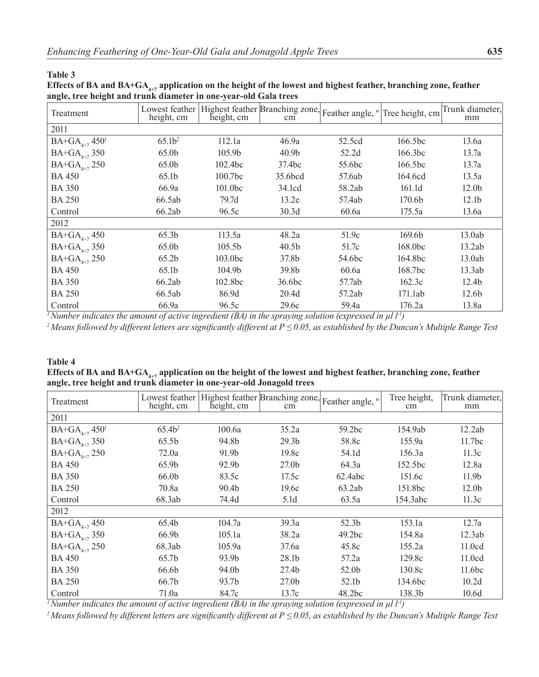### **Table 3**

# Effects of BA and BA+GA<sub>4+7</sub> application on the height of the lowest and highest feather, branching zone, feather **angle, tree height and trunk diameter in one-year-old Gala trees**

| Treatment                      | Lowest feather<br>height, cm | height, cm          | Highest feather Branching zone, Feather angle, $\degree$ Tree height, cm<br>cm |        |                         | Trunk diameter,<br>mm |
|--------------------------------|------------------------------|---------------------|--------------------------------------------------------------------------------|--------|-------------------------|-----------------------|
| 2011                           |                              |                     |                                                                                |        |                         |                       |
| $BA+GA_{4+7}$ 450 <sup>1</sup> | 65.1 <sup>2</sup>            | 112.1a              | 46.9a                                                                          | 52.5cd | 166.5bc                 | 13.6a                 |
| $BA+GA$ <sub>4+7</sub> 350     | 65.0b                        | 105.9 <sub>b</sub>  | 40.9 <sub>b</sub>                                                              | 52.2d  | 166.3bc                 | 13.7a                 |
| $BA+GA$ <sub>4+7</sub> 250     | 65.0b                        | 102.4 <sub>bc</sub> | 37.4bc                                                                         | 55.6bc | 166.5 <sub>bc</sub>     | 13.7a                 |
| <b>BA 450</b>                  | 65.1b                        | 100.7 <sub>bc</sub> | 35.6bcd                                                                        | 57.6ab | 164.6cd                 | 13.5a                 |
| <b>BA 350</b>                  | 66.9a                        | 101.0 <sub>bc</sub> | 34.1cd                                                                         | 58.2ab | 161.1d                  | 12.0 <sub>b</sub>     |
| <b>BA 250</b>                  | 66.5ab                       | 79.7d               | 13.2e                                                                          | 57.4ab | 170.6 <sub>b</sub>      | 12.1 <sub>b</sub>     |
| Control                        | 66.2ab                       | 96.5c               | 30.3d                                                                          | 60.6a  | 175.5a                  | 13.6a                 |
| 2012                           |                              |                     |                                                                                |        |                         |                       |
| $BA+GA_{4+7}$ 450              | 65.3b                        | 113.5a              | 48.2a                                                                          | 51.9c  | 169.6b                  | 13.0ab                |
| $BA+GA_{4+7}$ 350              | 65.0b                        | 105.5 <sub>b</sub>  | 40.5 <sub>b</sub>                                                              | 51.7c  | 168.0 <sub>bc</sub>     | 13.2ab                |
| $BA+GA_{4+7}$ 250              | 65.2b                        | 103.0bc             | 37.8b                                                                          | 54.6bc | 164.8bc                 | 13.0ab                |
| <b>BA 450</b>                  | 65.1b                        | 104.9 <sub>b</sub>  | 39.8 <sub>b</sub>                                                              | 60.6a  | 168.7bc                 | 13.3ab                |
| <b>BA 350</b>                  | 66.2ab                       | 102.8bc             | 36.6bc                                                                         | 57.7ab | 162.3c                  | 12.4 <sub>b</sub>     |
| <b>BA 250</b>                  | 66.5ab                       | 86.9d               | 20.4d                                                                          | 57.2ab | 171.1ab                 | 12.6 <sub>b</sub>     |
| Control                        | 66.9a                        | 96.5c               | 29.6c                                                                          | 59.4a  | 176.2a<br>$+ +$ $+$ $+$ | 13.8a                 |

<sup>*1</sup> Number indicates the amount of active ingredient (BA) in the spraying solution (expressed in*  $\mu$ *l l<sup>-1</sup>)</sup>* 

*<sup>2</sup>Means followed by different letters are significantly different at P ≤ 0.05, as established by the Duncan's Multiple Range Test*

# **Table 4**  Effects of BA and BA+GA<sub>4+7</sub> application on the height of the lowest and highest feather, branching zone, feather **angle, tree height and trunk diameter in one-year-old Jonagold trees**

| Treatment                      | Lowest feather<br>height, cm | height, cm        | cm                | Highest feather Branching zone, Feather angle, $\circ$ | Tree height,<br>cm | Trunk diameter,<br>mm |
|--------------------------------|------------------------------|-------------------|-------------------|--------------------------------------------------------|--------------------|-----------------------|
| 2011                           |                              |                   |                   |                                                        |                    |                       |
| $BA+GA_{4+7}$ 450 <sup>1</sup> | 65.4 <sup>2</sup>            | 100.6a            | 35.2a             | 59.2bc                                                 | 154.9ab            | 12.2ab                |
| $BA+GA_{4+7}$ 350              | 65.5b                        | 94.8b             | 29.3 <sub>b</sub> | 58.8c                                                  | 155.9a             | 11.7 <sub>bc</sub>    |
| $BA + GA_{4+7} 250$            | 72.0a                        | 91.9b             | 19.8c             | 54.1d                                                  | 156.3a             | 11.3c                 |
| <b>BA 450</b>                  | 65.9b                        | 92.9b             | 27.0 <sub>b</sub> | 64.3a                                                  | 152.5bc            | 12.8a                 |
| <b>BA 350</b>                  | 66.0b                        | 83.5c             | 17.5c             | 62.4abc                                                | 151.6c             | 11.9 <sub>b</sub>     |
| <b>BA 250</b>                  | 70.8a                        | 90.4 <sub>b</sub> | 19.6c             | 63.2ab                                                 | 151.8bc            | 12.0 <sub>b</sub>     |
| Control                        | 68.3ab                       | 74.4d             | 5.1 <sub>d</sub>  | 63.5a                                                  | 154.3abc           | 11.3c                 |
| 2012                           |                              |                   |                   |                                                        |                    |                       |
| $BA+GA$ <sub>4+7</sub> 450     | 65.4b                        | 104.7a            | 39.3a             | 52.3b                                                  | 153.1a             | 12.7a                 |
| $BA+GA$ <sub>4+7</sub> 350     | 66.9b                        | 105.1a            | 38.2a             | 49.2bc                                                 | 154.8a             | 12.3ab                |
| $BA+GA$ <sub>4+7</sub> 250     | 68.3ab                       | 105.9a            | 37.6a             | 45.8c                                                  | 155.2a             | 11.0cd                |
| <b>BA 450</b>                  | 65.7b                        | 93.9b             | 28.1b             | 57.2a                                                  | 129.8c             | 11.0cd                |
| <b>BA 350</b>                  | 66.6b                        | 94.0b             | 27.4 <sub>b</sub> | 52.0b                                                  | 130.8c             | 11.6 <sub>bc</sub>    |
| <b>BA 250</b>                  | 66.7b                        | 93.7b             | 27.0 <sub>b</sub> | 52.1b                                                  | 134.6bc            | 10.2d                 |
| Control                        | 71.0a                        | 84.7c             | 13.7c             | 48.2bc                                                 | 138.3b             | 10.6d                 |

<sup>*1</sup> Number indicates the amount of active ingredient (BA) in the spraying solution (expressed in*  $\mu$ *l l<sup>-1</sup>)</sup>* 

*2 Means followed by different letters are significantly different at P ≤ 0.05, as established by the Duncan's Multiple Range Test*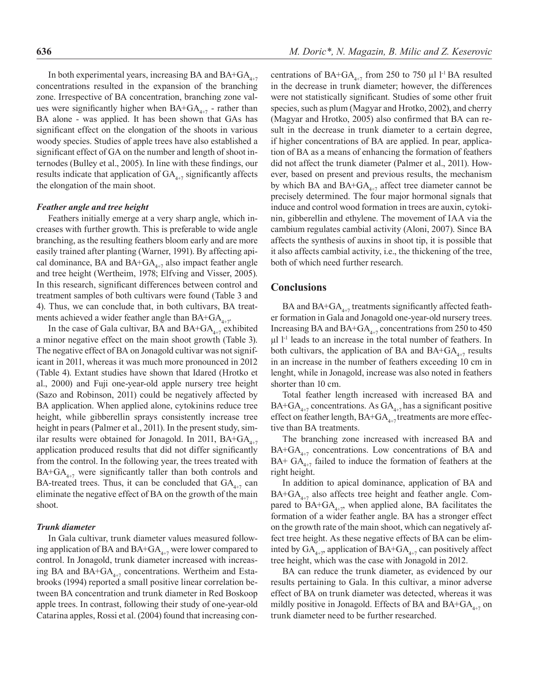In both experimental years, increasing BA and  $BA+GA_{4+7}$ concentrations resulted in the expansion of the branching zone. Irrespective of BA concentration, branching zone values were significantly higher when  $BA+GA_{4+7}$  - rather than BA alone - was applied. It has been shown that GAs has significant effect on the elongation of the shoots in various woody species. Studies of apple trees have also established a significant effect of GA on the number and length of shoot internodes (Bulley et al., 2005). In line with these findings, our results indicate that application of  $GA_{4+7}$  significantly affects the elongation of the main shoot.

### *Feather angle and tree height*

Feathers initially emerge at a very sharp angle, which increases with further growth. This is preferable to wide angle branching, as the resulting feathers bloom early and are more easily trained after planting (Warner, 1991). By affecting apical dominance, BA and  $BA+GA_{4+7}$  also impact feather angle and tree height (Wertheim, 1978; Elfving and Visser, 2005). In this research, significant differences between control and treatment samples of both cultivars were found (Table 3 and 4). Thus, we can conclude that, in both cultivars, BA treatments achieved a wider feather angle than BA+GA $_{4+7}$ .

In the case of Gala cultivar, BA and  $BA+GA_{4+7}$  exhibited a minor negative effect on the main shoot growth (Table 3). The negative effect of BA on Jonagold cultivar was not significant in 2011, whereas it was much more pronounced in 2012 (Table 4). Extant studies have shown that Idared (Hrotko et al., 2000) and Fuji one-year-old apple nursery tree height (Sazo and Robinson, 2011) could be negatively affected by BA application. When applied alone, cytokinins reduce tree height, while gibberellin sprays consistently increase tree height in pears (Palmer et al., 2011). In the present study, similar results were obtained for Jonagold. In 2011,  $BA+GA_{4+7}$ application produced results that did not differ significantly from the control. In the following year, the trees treated with  $BA+GA_{4+7}$  were significantly taller than both controls and BA-treated trees. Thus, it can be concluded that  $GA_{4+7}$  can eliminate the negative effect of BA on the growth of the main shoot.

### *Trunk diameter*

In Gala cultivar, trunk diameter values measured following application of BA and  $BA+GA_{4+7}$  were lower compared to control. In Jonagold, trunk diameter increased with increasing BA and BA+GA $_{4+7}$  concentrations. Wertheim and Estabrooks (1994) reported a small positive linear correlation between BA concentration and trunk diameter in Red Boskoop apple trees. In contrast, following their study of one-year-old Catarina apples, Rossi et al. (2004) found that increasing concentrations of BA+GA<sub>4+7</sub> from 250 to 750 µl l<sup>-1</sup> BA resulted in the decrease in trunk diameter; however, the differences were not statistically significant. Studies of some other fruit species, such as plum (Magyar and Hrotko, 2002), and cherry (Magyar and Hrotko, 2005) also confirmed that BA can result in the decrease in trunk diameter to a certain degree, if higher concentrations of BA are applied. In pear, application of BA as a means of enhancing the formation of feathers did not affect the trunk diameter (Palmer et al., 2011). However, based on present and previous results, the mechanism by which BA and  $BA+GA_{4+7}$  affect tree diameter cannot be precisely determined. The four major hormonal signals that induce and control wood formation in trees are auxin, cytokinin, gibberellin and ethylene. The movement of IAA via the cambium regulates cambial activity (Aloni, 2007). Since BA affects the synthesis of auxins in shoot tip, it is possible that it also affects cambial activity, i.e., the thickening of the tree, both of which need further research.

### **Conclusions**

BA and BA+ $GA_{4+7}$  treatments significantly affected feather formation in Gala and Jonagold one-year-old nursery trees. Increasing BA and BA+GA<sub>4+7</sub> concentrations from 250 to 450  $\mu$ l l<sup>-1</sup> leads to an increase in the total number of feathers. In both cultivars, the application of BA and  $BA+GA_{4+7}$  results in an increase in the number of feathers exceeding 10 cm in lenght, while in Jonagold, increase was also noted in feathers shorter than 10 cm.

Total feather length increased with increased BA and BA+GA<sub>4+7</sub> concentrations. As GA<sub>4+7</sub> has a significant positive effect on feather length,  $BA+GA_{4+7}$  treatments are more effective than BA treatments.

The branching zone increased with increased BA and  $BA+GA_{4+7}$  concentrations. Low concentrations of BA and BA+  $GA_{4+7}$  failed to induce the formation of feathers at the right height.

In addition to apical dominance, application of BA and  $BA+GA_{4+7}$  also affects tree height and feather angle. Compared to  $BA+GA_{4+7}$ , when applied alone, BA facilitates the formation of a wider feather angle. BA has a stronger effect on the growth rate of the main shoot, which can negatively affect tree height. As these negative effects of BA can be eliminted by  $GA_{4+7}$ , application of BA+GA<sub>4+7</sub> can positively affect tree height, which was the case with Jonagold in 2012.

BA can reduce the trunk diameter, as evidenced by our results pertaining to Gala. In this cultivar, a minor adverse effect of BA on trunk diameter was detected, whereas it was mildly positive in Jonagold. Effects of BA and  $BA+GA_{4+7}$  on trunk diameter need to be further researched.